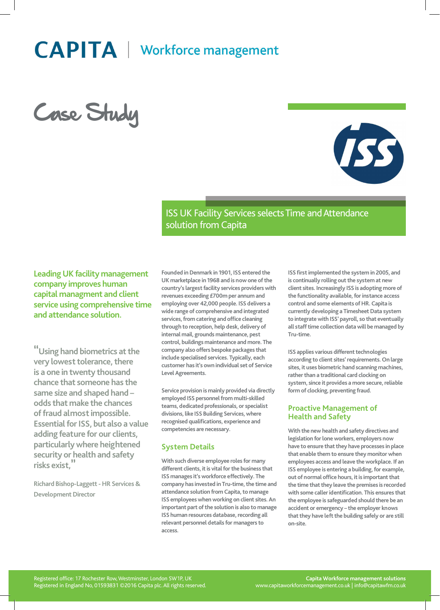# **CAPITA** | Workforce management

Case Study



ISS UK Facility Services selects Time and Attendance solution from Capita

**Leading UK facility management company improves human capital managment and client service using comprehensive time and attendance solution.**

**"Using hand biometrics at the very lowest tolerance, there is a one in twenty thousand chance that someone has the same size and shaped hand – odds that make the chances of fraud almost impossible. Essential for ISS, but also a value adding feature for our clients, particularly where heightened security or health and safety risks exist,"**

**Richard Bishop-Laggett - HR Services & Development Director**

**Founded in Denmark in 1901, ISS entered the UK marketplace in 1968 and is now one of the country's largest facility services providers with revenues exceeding £700m per annum and employing over 42,000 people. ISS delivers a wide range of comprehensive and integrated services, from catering and office cleaning through to reception, help desk, delivery of internal mail, grounds maintenance, pest control, buildings maintenance and more. The company also offers bespoke packages that include specialised services. Typically, each customer has it's own individual set of Service Level Agreements.**

**Service provision is mainly provided via directly employed ISS personnel from multi-skilled teams, dedicated professionals, or specialist divisions, like ISS Building Services, where recognised qualifications, experience and competencies are necessary.**

# **System Details**

**With such diverse employee roles for many different clients, it is vital for the business that ISS manages it's workforce effectively. The company has invested in Tru-time, the time and attendance solution from Capita, to manage ISS employees when working on client sites. An important part of the solution is also to manage ISS human resources database, recording all relevant personnel details for managers to access.**

**ISS first implemented the system in 2005, and is continually rolling out the system at new client sites. Increasingly ISS is adopting more of the functionality available, for instance access control and some elements of HR. Capita is currently developing a Timesheet Data system to integrate with ISS' payroll, so that eventually all staff time collection data will be managed by Tru-time.**

**ISS applies various different technologies according to client sites' requirements. On large sites, it uses biometric hand scanning machines, rather than a traditional card clocking on system, since it provides a more secure, reliable form of clocking, preventing fraud.**

## **Proactive Management of Health and Safety**

**With the new health and safety directives and legislation for lone workers, employers now have to ensure that they have processes in place that enable them to ensure they monitor when employees access and leave the workplace. If an ISS employee is entering a building, for example, out of normal office hours, it is important that the time that they leave the premises is recorded with some caller identification. This ensures that the employee is safeguarded should there be an accident or emergency – the employer knows that they have left the building safely or are still on-site.**